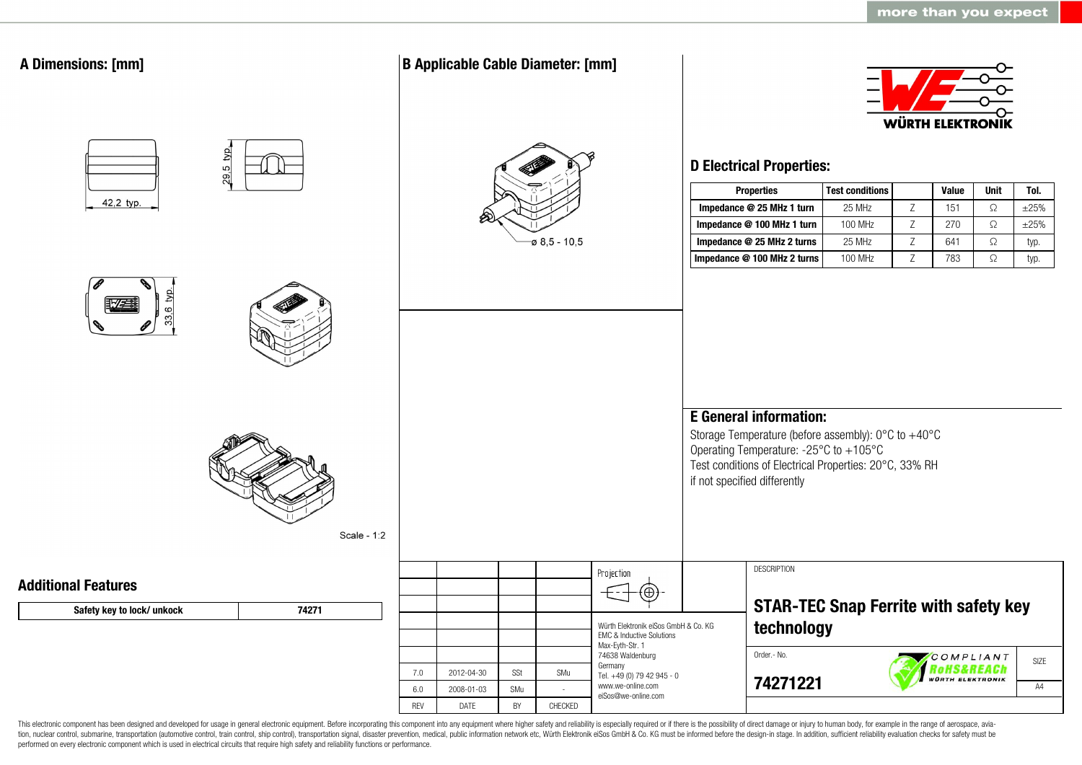| $29.5$ typ.<br><b>D Electrical Properties:</b><br><b>Properties</b><br><b>Test conditions</b><br><b>Value</b><br>Unit<br>Tol.<br>42,2 typ.<br>Impedance @ 25 MHz 1 turn<br>Z<br>$\Omega$<br>$\pm 25\%$<br>25 MHz<br>151<br>$\Omega$<br>Impedance @ 100 MHz 1 turn<br>100 MHz<br>Z<br>270<br>$\pm 25\%$<br>$\varphi$ 8,5 - 10,5<br>25 MHz<br>Z<br>$\Omega$<br>Impedance @ 25 MHz 2 turns<br>641<br>typ.<br>Z<br>$\Omega$<br>Impedance @ 100 MHz 2 turns<br>100 MHz<br>783<br>typ.<br>$\circ$<br>33<br><b>E</b> General information:<br>Storage Temperature (before assembly): 0°C to +40°C<br>Operating Temperature: -25°C to +105°C<br>Test conditions of Electrical Properties: 20°C, 33% RH<br>if not specified differently<br>Scale - 1:2<br><b>DESCRIPTION</b><br>Projection<br><b>Additional Features</b><br><b>STAR-TEC Snap Ferrite with safety key</b><br>Safety key to lock/ unkock<br>74271<br>technology<br>Würth Elektronik eiSos GmbH & Co. KG<br>EMC & Inductive Solutions<br>Max-Eyth-Str. 1<br>Order .- No.<br>74638 Waldenburg<br>COMPLIANT<br>SIZE<br>Germany<br><b>TOHS&amp;REACh</b><br>Orth Elektronik<br>SSt<br>7.0<br>2012-04-30<br>SMu<br>Tel. +49 (0) 79 42 945 - 0<br>74271221<br>www.we-online.com<br>A4<br>$6.0\,$<br>2008-01-03<br>SMu<br>eiSos@we-online.com<br><b>REV</b><br>BY<br>DATE<br>CHECKED | <b>A Dimensions: [mm]</b> |  | <b>B Applicable Cable Diameter: [mm]</b> |  |  |  | <b>WÜRTH ELEKTRONIK</b> |  |
|-----------------------------------------------------------------------------------------------------------------------------------------------------------------------------------------------------------------------------------------------------------------------------------------------------------------------------------------------------------------------------------------------------------------------------------------------------------------------------------------------------------------------------------------------------------------------------------------------------------------------------------------------------------------------------------------------------------------------------------------------------------------------------------------------------------------------------------------------------------------------------------------------------------------------------------------------------------------------------------------------------------------------------------------------------------------------------------------------------------------------------------------------------------------------------------------------------------------------------------------------------------------------------------------------------------------------------------|---------------------------|--|------------------------------------------|--|--|--|-------------------------|--|
|                                                                                                                                                                                                                                                                                                                                                                                                                                                                                                                                                                                                                                                                                                                                                                                                                                                                                                                                                                                                                                                                                                                                                                                                                                                                                                                                   |                           |  |                                          |  |  |  |                         |  |
|                                                                                                                                                                                                                                                                                                                                                                                                                                                                                                                                                                                                                                                                                                                                                                                                                                                                                                                                                                                                                                                                                                                                                                                                                                                                                                                                   |                           |  |                                          |  |  |  |                         |  |
|                                                                                                                                                                                                                                                                                                                                                                                                                                                                                                                                                                                                                                                                                                                                                                                                                                                                                                                                                                                                                                                                                                                                                                                                                                                                                                                                   |                           |  |                                          |  |  |  |                         |  |
|                                                                                                                                                                                                                                                                                                                                                                                                                                                                                                                                                                                                                                                                                                                                                                                                                                                                                                                                                                                                                                                                                                                                                                                                                                                                                                                                   |                           |  |                                          |  |  |  |                         |  |
|                                                                                                                                                                                                                                                                                                                                                                                                                                                                                                                                                                                                                                                                                                                                                                                                                                                                                                                                                                                                                                                                                                                                                                                                                                                                                                                                   |                           |  |                                          |  |  |  |                         |  |
|                                                                                                                                                                                                                                                                                                                                                                                                                                                                                                                                                                                                                                                                                                                                                                                                                                                                                                                                                                                                                                                                                                                                                                                                                                                                                                                                   |                           |  |                                          |  |  |  |                         |  |
|                                                                                                                                                                                                                                                                                                                                                                                                                                                                                                                                                                                                                                                                                                                                                                                                                                                                                                                                                                                                                                                                                                                                                                                                                                                                                                                                   |                           |  |                                          |  |  |  |                         |  |
|                                                                                                                                                                                                                                                                                                                                                                                                                                                                                                                                                                                                                                                                                                                                                                                                                                                                                                                                                                                                                                                                                                                                                                                                                                                                                                                                   |                           |  |                                          |  |  |  |                         |  |
|                                                                                                                                                                                                                                                                                                                                                                                                                                                                                                                                                                                                                                                                                                                                                                                                                                                                                                                                                                                                                                                                                                                                                                                                                                                                                                                                   |                           |  |                                          |  |  |  |                         |  |
|                                                                                                                                                                                                                                                                                                                                                                                                                                                                                                                                                                                                                                                                                                                                                                                                                                                                                                                                                                                                                                                                                                                                                                                                                                                                                                                                   |                           |  |                                          |  |  |  |                         |  |
|                                                                                                                                                                                                                                                                                                                                                                                                                                                                                                                                                                                                                                                                                                                                                                                                                                                                                                                                                                                                                                                                                                                                                                                                                                                                                                                                   |                           |  |                                          |  |  |  |                         |  |
|                                                                                                                                                                                                                                                                                                                                                                                                                                                                                                                                                                                                                                                                                                                                                                                                                                                                                                                                                                                                                                                                                                                                                                                                                                                                                                                                   |                           |  |                                          |  |  |  |                         |  |
|                                                                                                                                                                                                                                                                                                                                                                                                                                                                                                                                                                                                                                                                                                                                                                                                                                                                                                                                                                                                                                                                                                                                                                                                                                                                                                                                   |                           |  |                                          |  |  |  |                         |  |
|                                                                                                                                                                                                                                                                                                                                                                                                                                                                                                                                                                                                                                                                                                                                                                                                                                                                                                                                                                                                                                                                                                                                                                                                                                                                                                                                   |                           |  |                                          |  |  |  |                         |  |
|                                                                                                                                                                                                                                                                                                                                                                                                                                                                                                                                                                                                                                                                                                                                                                                                                                                                                                                                                                                                                                                                                                                                                                                                                                                                                                                                   |                           |  |                                          |  |  |  |                         |  |

This electronic component has been designed and developed for usage in general electronic equipment. Before incorporating this component into any equipment where higher safety and reliability is especially required or if t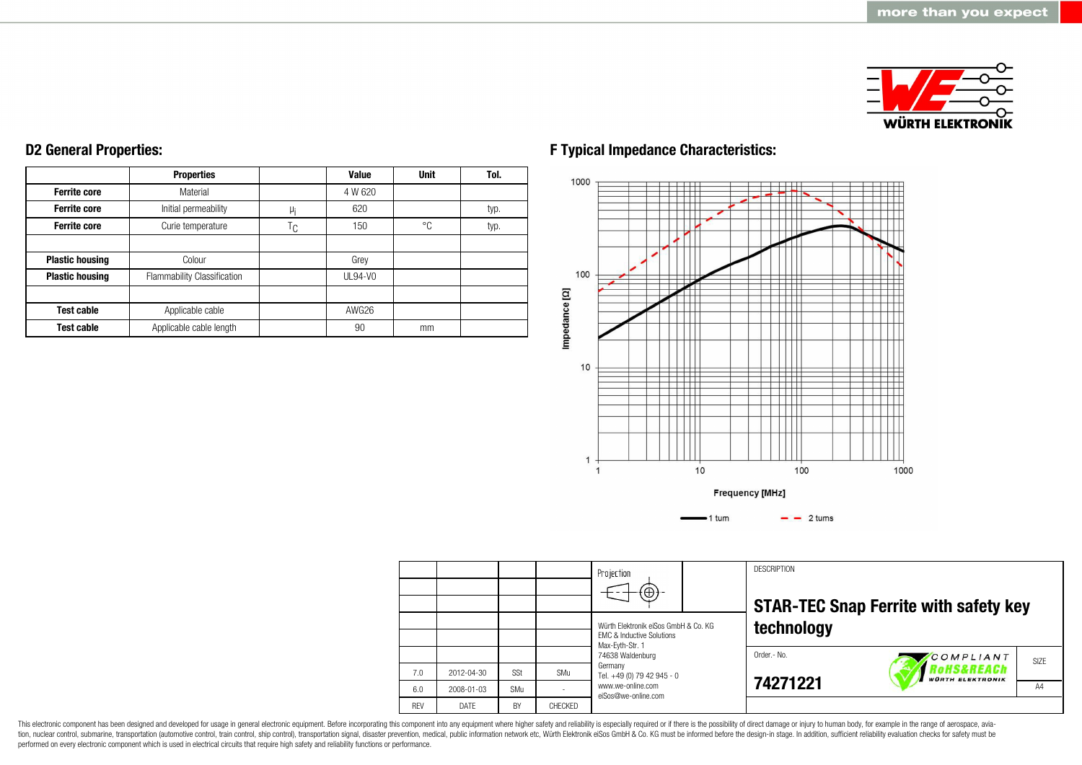

#### **Ferrite core Ferrite core Ferrite core Plastic housing Plastic housing Test cable Test cable Properties** Material Initial permeability Curie temperature Colour Flammability Classification Applicable cable Applicable cable length  $\mu$ <sub>i</sub>  $T_{C}$ **Value** 4 W 620 620 150 Grey UL94-V0 AWG26 90 **Unit** °C mm **Tol.** typ. typ.

**D2 General Properties:**

# **F Typical Impedance Characteristics:**



|            |            |     |                | Projection<br>$\textcircled{\scriptsize\textcircled{\scriptsize\textcirc}}$                     | <b>DESCRIPTION</b> | <b>STAR-TEC Snap Ferrite with safety key</b>     |      |  |  |  |
|------------|------------|-----|----------------|-------------------------------------------------------------------------------------------------|--------------------|--------------------------------------------------|------|--|--|--|
|            |            |     |                | Würth Elektronik eiSos GmbH & Co. KG<br><b>EMC &amp; Inductive Solutions</b><br>Max-Evth-Str. 1 | technology         |                                                  |      |  |  |  |
|            |            |     |                | 74638 Waldenburg                                                                                | Order.- No.        | COMPLIANT                                        | SIZE |  |  |  |
| 7.0        | 2012-04-30 | SSt | SMu            | Germany<br>Tel. +49 (0) 79 42 945 - 0                                                           |                    | <b>TOHS&amp;REACh</b><br><b>WÜRTH ELEKTRONIK</b> |      |  |  |  |
| 6.0        | 2008-01-03 | SMu |                | www.we-online.com<br>eiSos@we-online.com                                                        | 74271221           |                                                  | A4   |  |  |  |
| <b>RFV</b> | DATE       | BY  | <b>CHECKED</b> |                                                                                                 |                    |                                                  |      |  |  |  |

This electronic component has been designed and developed for usage in general electronic equipment. Before incorporating this component into any equipment where higher safety and reliability is especially required or if t performed on every electronic component which is used in electrical circuits that require high safety and reliability functions or performance.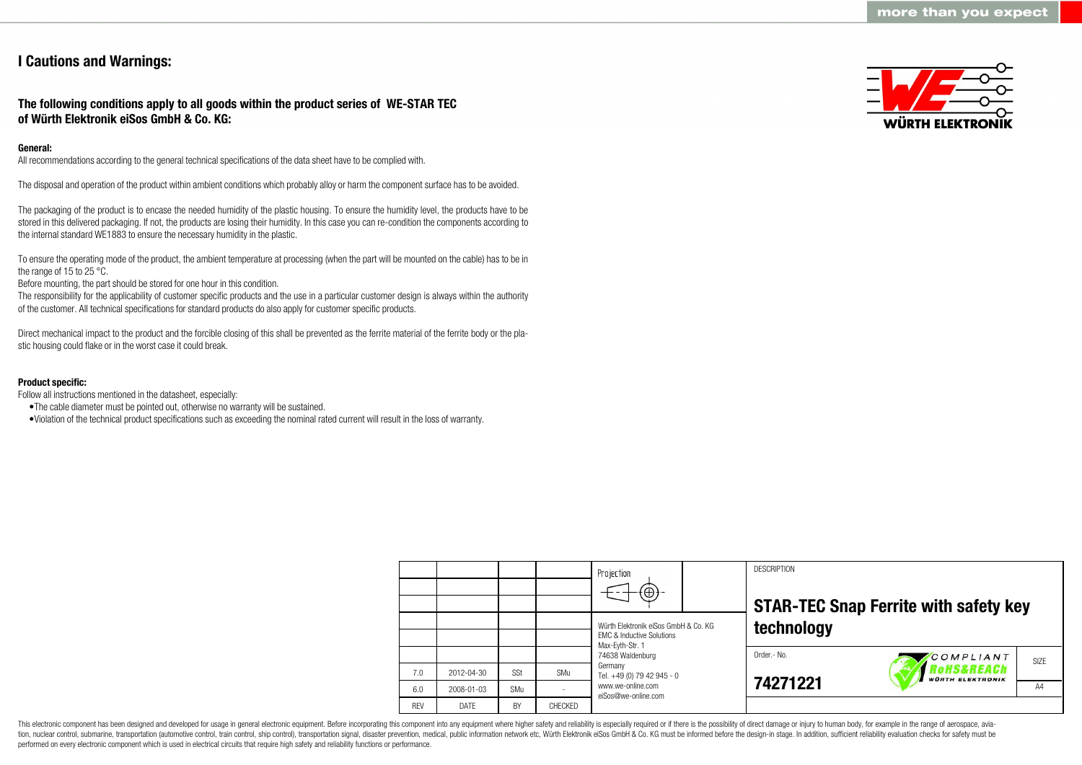# **I Cautions and Warnings:**

# **The following conditions apply to all goods within the product series of WE-STAR TEC of Würth Elektronik eiSos GmbH & Co. KG:**

### **General:**

All recommendations according to the general technical specifications of the data sheet have to be complied with.

The disposal and operation of the product within ambient conditions which probably alloy or harm the component surface has to be avoided.

The packaging of the product is to encase the needed humidity of the plastic housing. To ensure the humidity level, the products have to be stored in this delivered packaging. If not, the products are losing their humidity. In this case you can re-condition the components according to the internal standard WE1883 to ensure the necessary humidity in the plastic.

To ensure the operating mode of the product, the ambient temperature at processing (when the part will be mounted on the cable) has to be in the range of 15 to 25 °C.

Before mounting, the part should be stored for one hour in this condition.

The responsibility for the applicability of customer specific products and the use in a particular customer design is always within the authority of the customer. All technical specifications for standard products do also apply for customer specific products.

Direct mechanical impact to the product and the forcible closing of this shall be prevented as the ferrite material of the ferrite body or the plastic housing could flake or in the worst case it could break.

#### **Product specific:**

Follow all instructions mentioned in the datasheet, especially:

- •The cable diameter must be pointed out, otherwise no warranty will be sustained.
- •Violation of the technical product specifications such as exceeding the nominal rated current will result in the loss of warranty.

|            |            |     |                | Projection<br>$\left( \oplus \right)$                                                           |  | <b>DESCRIPTION</b> | <b>STAR-TEC Snap Ferrite with safety key</b>                 |      |  |  |  |
|------------|------------|-----|----------------|-------------------------------------------------------------------------------------------------|--|--------------------|--------------------------------------------------------------|------|--|--|--|
|            |            |     |                | Würth Elektronik eiSos GmbH & Co. KG<br><b>EMC &amp; Inductive Solutions</b><br>Max-Eyth-Str. 1 |  | technology         |                                                              |      |  |  |  |
| 7.0        | 2012-04-30 | SSt | SMu            | 74638 Waldenburg<br>Germany<br>Tel. +49 (0) 79 42 945 - 0                                       |  | Order.- No.        | COMPLIANT<br><b>OHS&amp;REACh</b><br><b>WÜRTH ELEKTRONIK</b> | SIZE |  |  |  |
| 6.0        | 2008-01-03 | SMu |                | www.we-online.com<br>eiSos@we-online.com                                                        |  | 74271221           |                                                              |      |  |  |  |
| <b>RFV</b> | DATE       | BY  | <b>CHECKED</b> |                                                                                                 |  |                    |                                                              |      |  |  |  |

This electronic component has been designed and developed for usage in general electronic equipment. Before incorporating this component into any equipment where higher safety and reliability is especially required or if t tion, nuclear control, submarine, transportation (automotive control, train control), ship control), transportation signal, disaster prevention, medical, public information network etc. Würth Elektronik eiSos GmbH & Co. KG performed on every electronic component which is used in electrical circuits that require high safety and reliability functions or performance.